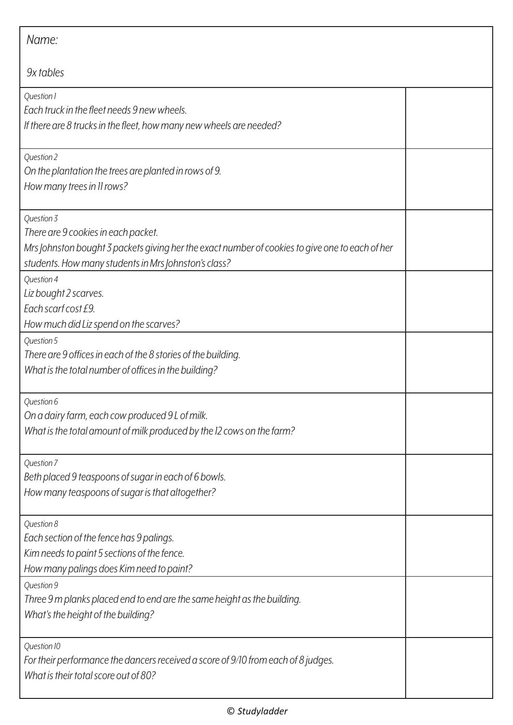| Name:                                                                                                                                                                                                        |  |
|--------------------------------------------------------------------------------------------------------------------------------------------------------------------------------------------------------------|--|
| 9x tables                                                                                                                                                                                                    |  |
| Question 1<br>Each truck in the fleet needs 9 new wheels.<br>If there are 8 trucks in the fleet, how many new wheels are needed?                                                                             |  |
| Question 2<br>On the plantation the trees are planted in rows of 9.<br>How many trees in 11 rows?                                                                                                            |  |
| Question 3<br>There are 9 cookies in each packet.<br>Mrs Johnston bought 3 packets giving her the exact number of cookies to give one to each of her<br>students. How many students in Mrs Johnston's class? |  |
| Question 4<br>Liz bought 2 scarves.<br>Each scarf cost £9.<br>How much did Liz spend on the scarves?                                                                                                         |  |
| Question 5<br>There are 9 offices in each of the 8 stories of the building.<br>What is the total number of offices in the building?                                                                          |  |
| Question 6<br>On a dairy farm, each cow produced 9 L of milk.<br>What is the total amount of milk produced by the 12 cows on the farm?                                                                       |  |
| Question 7<br>Beth placed 9 teaspoons of sugar in each of 6 bowls.<br>How many teaspoons of sugar is that altogether?                                                                                        |  |
| Question 8<br>Each section of the fence has 9 palings.<br>Kim needs to paint 5 sections of the fence.<br>How many palings does Kim need to paint?                                                            |  |
| Question 9<br>Three 9 m planks placed end to end are the same height as the building.<br>What's the height of the building?                                                                                  |  |
| Question 10<br>For their performance the dancers received a score of 9/10 from each of 8 judges.<br>What is their total score out of 80?                                                                     |  |